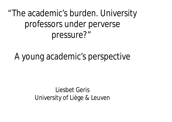"The academic's burden. University professors under perverse pressure?"

A young academic's perspective

Liesbet Geris University of Liège & Leuven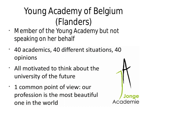# Young Academy of Belgium (Flanders)

- Member of the Young Academy but not speaking on her behalf
- 40 academics, 40 different situations, 40 • opinions
- . All motivated to think about the university of the future
- 1 common point of view: our profession is the most beautiful one in the world

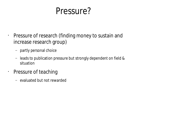#### Pressure?

- Pressure of research (finding money to sustain and increase research group)
	- partly personal choice
	- leads to publication pressure but strongly dependent on field & situation
- Pressure of teaching
	- evaluated but not rewarded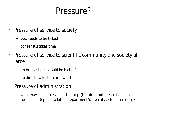#### Pressure?

- Pressure of service to society
	- box needs to be ticked
	- consensus takes time
- Pressure of service to scientific community and society at large
	- no but perhaps should be higher?
	- no direct evaluation or reward
- Pressure of administration
	- will always be perceived as too high (this does not mean that it is not too high). Depends a lot on department/university & funding sources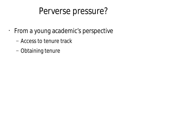#### Perverse pressure?

- From a young academic's perspective
	- Access to tenure track
	- Obtaining tenure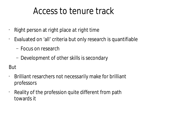#### Access to tenure track

- Right person at right place *at right time*
- Evaluated on 'all' criteria but only research is quantifiable
	- Focus on research
	- Development of other skills is secondary

#### But

- Brilliant resarchers not necessarily make for brilliant professors
- Reality of the profession quite different from path towards it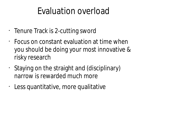## Evaluation overload

- Tenure Track is 2-cutting sword
- Focus on constant evaluation at time when you should be doing your most innovative & risky research
- Staying on the straight and (disciplinary) narrow is rewarded much more
- Less quantitative, more qualitative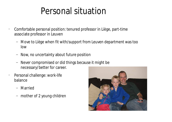### Personal situation

• Comfortable personal position: tenured professor in Liège, part-time associate professor in Leuven

- Move to Liège when fit with/support from Leuven department was too low
- Now, no uncertainty about future position
- Never compromised or did things because it might be necessary/better for career.
- Personal challenge: work-life balance
	- Married
	- mother of 2 young children